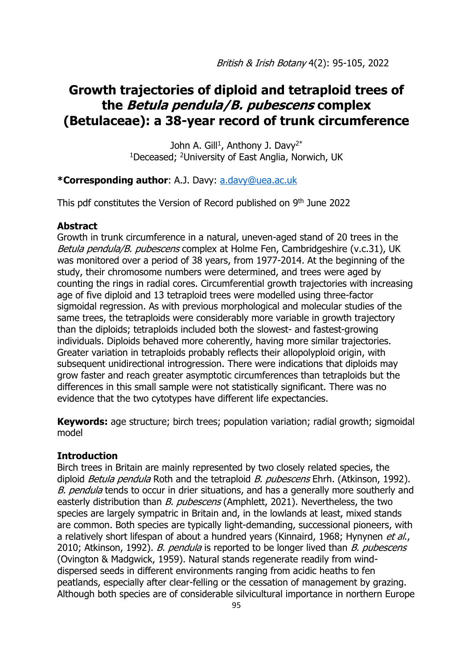# **Growth trajectories of diploid and tetraploid trees of the Betula pendula/B. pubescens complex (Betulaceae): a 38-year record of trunk circumference**

John A. Gill<sup>1</sup>, Anthony J. Davy<sup>2\*</sup> <sup>1</sup>Deceased; <sup>2</sup>University of East Anglia, Norwich, UK

## **\*Corresponding author**: A.J. Davy: [a.davy@uea.ac.uk](mailto:a.davy@uea.ac.uk)

This pdf constitutes the Version of Record published on 9<sup>th</sup> June 2022

## **Abstract**

Growth in trunk circumference in a natural, uneven-aged stand of 20 trees in the Betula pendula/B. pubescens complex at Holme Fen, Cambridgeshire (v.c.31), UK was monitored over a period of 38 years, from 1977-2014. At the beginning of the study, their chromosome numbers were determined, and trees were aged by counting the rings in radial cores. Circumferential growth trajectories with increasing age of five diploid and 13 tetraploid trees were modelled using three-factor sigmoidal regression. As with previous morphological and molecular studies of the same trees, the tetraploids were considerably more variable in growth trajectory than the diploids; tetraploids included both the slowest- and fastest-growing individuals. Diploids behaved more coherently, having more similar trajectories. Greater variation in tetraploids probably reflects their allopolyploid origin, with subsequent unidirectional introgression. There were indications that diploids may grow faster and reach greater asymptotic circumferences than tetraploids but the differences in this small sample were not statistically significant. There was no evidence that the two cytotypes have different life expectancies.

**Keywords:** age structure; birch trees; population variation; radial growth; sigmoidal model

## **Introduction**

Birch trees in Britain are mainly represented by two closely related species, the diploid *Betula pendula* Roth and the tetraploid *B. pubescens* Ehrh. (Atkinson, 1992). B. pendula tends to occur in drier situations, and has a generally more southerly and easterly distribution than *B. pubescens* (Amphlett, 2021). Nevertheless, the two species are largely sympatric in Britain and, in the lowlands at least, mixed stands are common. Both species are typically light-demanding, successional pioneers, with a relatively short lifespan of about a hundred years (Kinnaird, 1968; Hynynen et al., 2010; Atkinson, 1992). *B. pendula* is reported to be longer lived than *B. pubescens* (Ovington & Madgwick, 1959). Natural stands regenerate readily from winddispersed seeds in different environments ranging from acidic heaths to fen peatlands, especially after clear-felling or the cessation of management by grazing. Although both species are of considerable silvicultural importance in northern Europe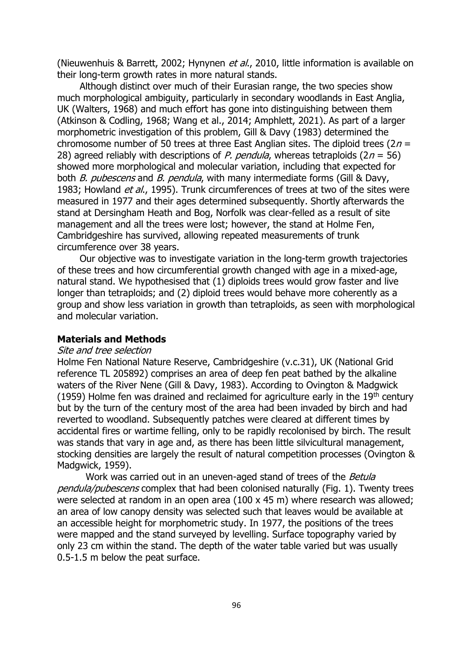(Nieuwenhuis & Barrett, 2002; Hynynen et al., 2010, little information is available on their long-term growth rates in more natural stands.

Although distinct over much of their Eurasian range, the two species show much morphological ambiguity, particularly in secondary woodlands in East Anglia, UK (Walters, 1968) and much effort has gone into distinguishing between them (Atkinson & Codling, 1968; Wang et al., 2014; Amphlett, 2021). As part of a larger morphometric investigation of this problem, Gill & Davy (1983) determined the chromosome number of 50 trees at three East Anglian sites. The diploid trees  $(2n =$ 28) agreed reliably with descriptions of P. pendula, whereas tetraploids ( $2n = 56$ ) showed more morphological and molecular variation, including that expected for both *B. pubescens* and *B. pendula*, with many intermediate forms (Gill & Davy, 1983; Howland *et al.*, 1995). Trunk circumferences of trees at two of the sites were measured in 1977 and their ages determined subsequently. Shortly afterwards the stand at Dersingham Heath and Bog, Norfolk was clear-felled as a result of site management and all the trees were lost; however, the stand at Holme Fen, Cambridgeshire has survived, allowing repeated measurements of trunk circumference over 38 years.

Our objective was to investigate variation in the long-term growth trajectories of these trees and how circumferential growth changed with age in a mixed-age, natural stand. We hypothesised that (1) diploids trees would grow faster and live longer than tetraploids; and (2) diploid trees would behave more coherently as a group and show less variation in growth than tetraploids, as seen with morphological and molecular variation.

## **Materials and Methods**

#### Site and tree selection

Holme Fen National Nature Reserve, Cambridgeshire (v.c.31), UK (National Grid reference TL 205892) comprises an area of deep fen peat bathed by the alkaline waters of the River Nene (Gill & Davy, 1983). According to Ovington & Madgwick (1959) Holme fen was drained and reclaimed for agriculture early in the  $19<sup>th</sup>$  century but by the turn of the century most of the area had been invaded by birch and had reverted to woodland. Subsequently patches were cleared at different times by accidental fires or wartime felling, only to be rapidly recolonised by birch. The result was stands that vary in age and, as there has been little silvicultural management, stocking densities are largely the result of natural competition processes (Ovington & Madgwick, 1959).

Work was carried out in an uneven-aged stand of trees of the Betula pendula/pubescens complex that had been colonised naturally (Fig. 1). Twenty trees were selected at random in an open area (100 x 45 m) where research was allowed; an area of low canopy density was selected such that leaves would be available at an accessible height for morphometric study. In 1977, the positions of the trees were mapped and the stand surveyed by levelling. Surface topography varied by only 23 cm within the stand. The depth of the water table varied but was usually 0.5-1.5 m below the peat surface.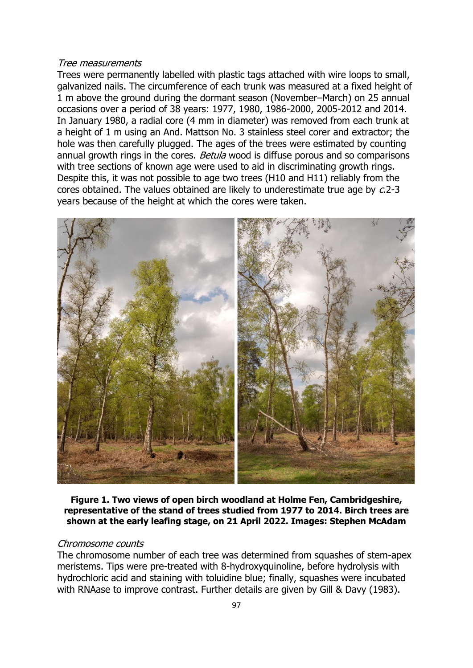#### Tree measurements

Trees were permanently labelled with plastic tags attached with wire loops to small, galvanized nails. The circumference of each trunk was measured at a fixed height of 1 m above the ground during the dormant season (November–March) on 25 annual occasions over a period of 38 years: 1977, 1980, 1986-2000, 2005-2012 and 2014. In January 1980, a radial core (4 mm in diameter) was removed from each trunk at a height of 1 m using an And. Mattson No. 3 stainless steel corer and extractor; the hole was then carefully plugged. The ages of the trees were estimated by counting annual growth rings in the cores. Betula wood is diffuse porous and so comparisons with tree sections of known age were used to aid in discriminating growth rings. Despite this, it was not possible to age two trees (H10 and H11) reliably from the cores obtained. The values obtained are likely to underestimate true age by c.2-3 years because of the height at which the cores were taken.



**Figure 1. Two views of open birch woodland at Holme Fen, Cambridgeshire, representative of the stand of trees studied from 1977 to 2014. Birch trees are shown at the early leafing stage, on 21 April 2022. Images: Stephen McAdam**

## Chromosome counts

The chromosome number of each tree was determined from squashes of stem-apex meristems. Tips were pre-treated with 8-hydroxyquinoline, before hydrolysis with hydrochloric acid and staining with toluidine blue; finally, squashes were incubated with RNAase to improve contrast. Further details are given by Gill & Davy (1983).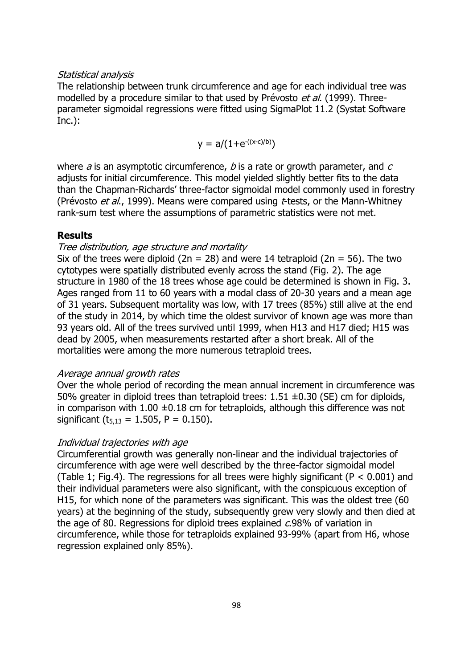## Statistical analysis

The relationship between trunk circumference and age for each individual tree was modelled by a procedure similar to that used by Prévosto et al. (1999). Threeparameter sigmoidal regressions were fitted using SigmaPlot 11.2 (Systat Software Inc.):

$$
y = a/(1 + e^{-(x-c)/b)})
$$

where  $a$  is an asymptotic circumference,  $b$  is a rate or growth parameter, and  $c$ adjusts for initial circumference. This model yielded slightly better fits to the data than the Chapman-Richards' three-factor sigmoidal model commonly used in forestry (Prévosto *et al.*, 1999). Means were compared using  $t$ -tests, or the Mann-Whitney rank-sum test where the assumptions of parametric statistics were not met.

#### **Results**

## Tree distribution, age structure and mortality

Six of the trees were diploid (2n = 28) and were 14 tetraploid (2n = 56). The two cytotypes were spatially distributed evenly across the stand (Fig. 2). The age structure in 1980 of the 18 trees whose age could be determined is shown in Fig. 3. Ages ranged from 11 to 60 years with a modal class of 20-30 years and a mean age of 31 years. Subsequent mortality was low, with 17 trees (85%) still alive at the end of the study in 2014, by which time the oldest survivor of known age was more than 93 years old. All of the trees survived until 1999, when H13 and H17 died; H15 was dead by 2005, when measurements restarted after a short break. All of the mortalities were among the more numerous tetraploid trees.

#### Average annual growth rates

Over the whole period of recording the mean annual increment in circumference was 50% greater in diploid trees than tetraploid trees:  $1.51 \pm 0.30$  (SE) cm for diploids, in comparison with  $1.00 \pm 0.18$  cm for tetraploids, although this difference was not significant ( $t_{5,13} = 1.505$ , P = 0.150).

#### Individual trajectories with age

Circumferential growth was generally non-linear and the individual trajectories of circumference with age were well described by the three-factor sigmoidal model (Table 1; Fig.4). The regressions for all trees were highly significant ( $P < 0.001$ ) and their individual parameters were also significant, with the conspicuous exception of H15, for which none of the parameters was significant. This was the oldest tree (60 years) at the beginning of the study, subsequently grew very slowly and then died at the age of 80. Regressions for diploid trees explained c.98% of variation in circumference, while those for tetraploids explained 93-99% (apart from H6, whose regression explained only 85%).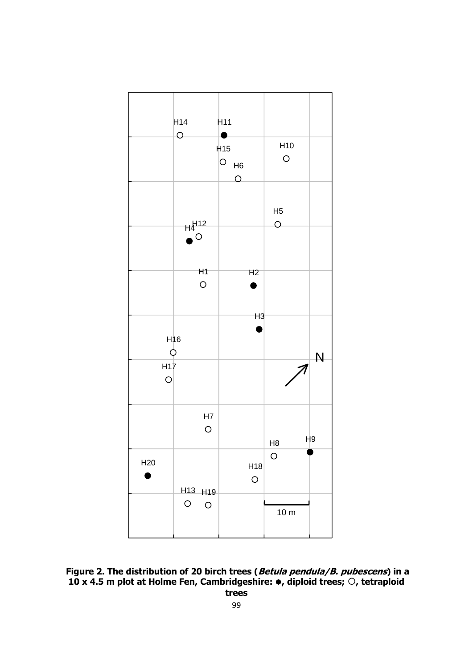

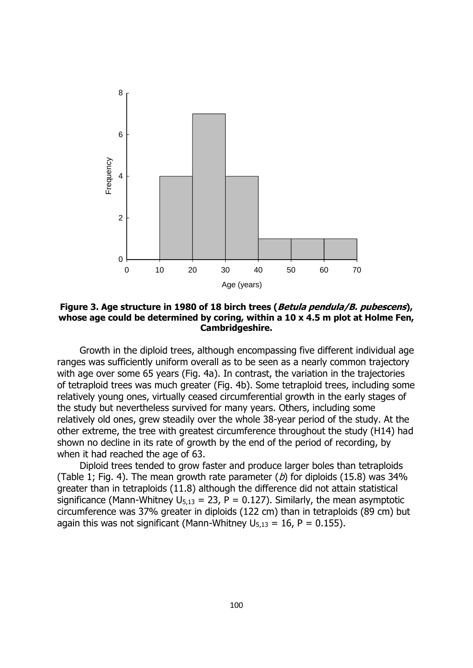

**Figure 3. Age structure in 1980 of 18 birch trees (Betula pendula/B. pubescens), whose age could be determined by coring, within a 10 x 4.5 m plot at Holme Fen, Cambridgeshire.**

Growth in the diploid trees, although encompassing five different individual age ranges was sufficiently uniform overall as to be seen as a nearly common trajectory with age over some 65 years (Fig. 4a). In contrast, the variation in the trajectories of tetraploid trees was much greater (Fig. 4b). Some tetraploid trees, including some relatively young ones, virtually ceased circumferential growth in the early stages of the study but nevertheless survived for many years. Others, including some relatively old ones, grew steadily over the whole 38-year period of the study. At the other extreme, the tree with greatest circumference throughout the study (H14) had shown no decline in its rate of growth by the end of the period of recording, by when it had reached the age of 63.

Diploid trees tended to grow faster and produce larger boles than tetraploids (Table 1; Fig. 4). The mean growth rate parameter  $(b)$  for diploids (15.8) was 34% greater than in tetraploids (11.8) although the difference did not attain statistical significance (Mann-Whitney  $U_{5,13} = 23$ , P = 0.127). Similarly, the mean asymptotic circumference was 37% greater in diploids (122 cm) than in tetraploids (89 cm) but again this was not significant (Mann-Whitney  $U_{5,13} = 16$ , P = 0.155).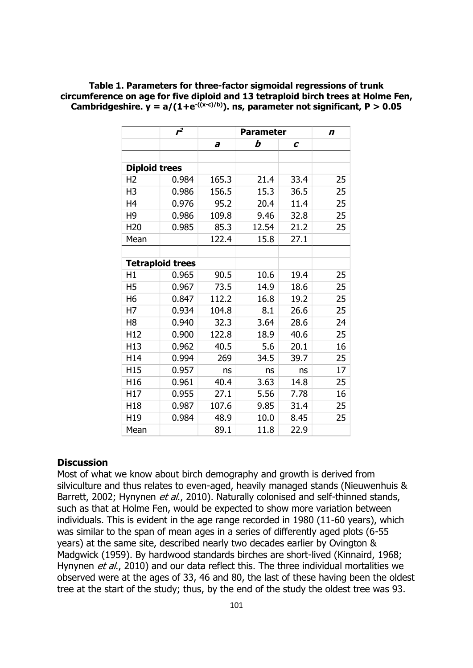|                      | $r^2$                   | <b>Parameter</b> |       |      | $\boldsymbol{n}$ |
|----------------------|-------------------------|------------------|-------|------|------------------|
|                      |                         | a                | b     | C    |                  |
|                      |                         |                  |       |      |                  |
| <b>Diploid trees</b> |                         |                  |       |      |                  |
| H <sub>2</sub>       | 0.984                   | 165.3            | 21.4  | 33.4 | 25               |
| H <sub>3</sub>       | 0.986                   | 156.5            | 15.3  | 36.5 | 25               |
| H <sub>4</sub>       | 0.976                   | 95.2             | 20.4  | 11.4 | 25               |
| H <sub>9</sub>       | 0.986                   | 109.8            | 9.46  | 32.8 | 25               |
| H <sub>20</sub>      | 0.985                   | 85.3             | 12.54 | 21.2 | 25               |
| Mean                 |                         | 122.4            | 15.8  | 27.1 |                  |
|                      |                         |                  |       |      |                  |
|                      | <b>Tetraploid trees</b> |                  |       |      |                  |
| H1                   | 0.965                   | 90.5             | 10.6  | 19.4 | 25               |
| H <sub>5</sub>       | 0.967                   | 73.5             | 14.9  | 18.6 | 25               |
| H <sub>6</sub>       | 0.847                   | 112.2            | 16.8  | 19.2 | 25               |
| H7                   | 0.934                   | 104.8            | 8.1   | 26.6 | 25               |
| H <sub>8</sub>       | 0.940                   | 32.3             | 3.64  | 28.6 | 24               |
| H <sub>12</sub>      | 0.900                   | 122.8            | 18.9  | 40.6 | 25               |
| H <sub>13</sub>      | 0.962                   | 40.5             | 5.6   | 20.1 | 16               |
| H14                  | 0.994                   | 269              | 34.5  | 39.7 | 25               |
| H15                  | 0.957                   | ns               | ns    | ns   | 17               |
| H16                  | 0.961                   | 40.4             | 3.63  | 14.8 | 25               |
| H <sub>17</sub>      | 0.955                   | 27.1             | 5.56  | 7.78 | 16               |
| H <sub>18</sub>      | 0.987                   | 107.6            | 9.85  | 31.4 | 25               |
| H19                  | 0.984                   | 48.9             | 10.0  | 8.45 | 25               |
| Mean                 |                         | 89.1             | 11.8  | 22.9 |                  |

**Table 1. Parameters for three-factor sigmoidal regressions of trunk circumference on age for five diploid and 13 tetraploid birch trees at Holme Fen,**  Cambridgeshire.  $y = a/(1+e^{-(x-c)/b})$ . ns, parameter not significant,  $P > 0.05$ 

## **Discussion**

Most of what we know about birch demography and growth is derived from silviculture and thus relates to even-aged, heavily managed stands (Nieuwenhuis & Barrett, 2002; Hynynen et al., 2010). Naturally colonised and self-thinned stands, such as that at Holme Fen, would be expected to show more variation between individuals. This is evident in the age range recorded in 1980 (11-60 years), which was similar to the span of mean ages in a series of differently aged plots (6-55 years) at the same site, described nearly two decades earlier by Ovington & Madgwick (1959). By hardwood standards birches are short-lived (Kinnaird, 1968; Hynynen et al., 2010) and our data reflect this. The three individual mortalities we observed were at the ages of 33, 46 and 80, the last of these having been the oldest tree at the start of the study; thus, by the end of the study the oldest tree was 93.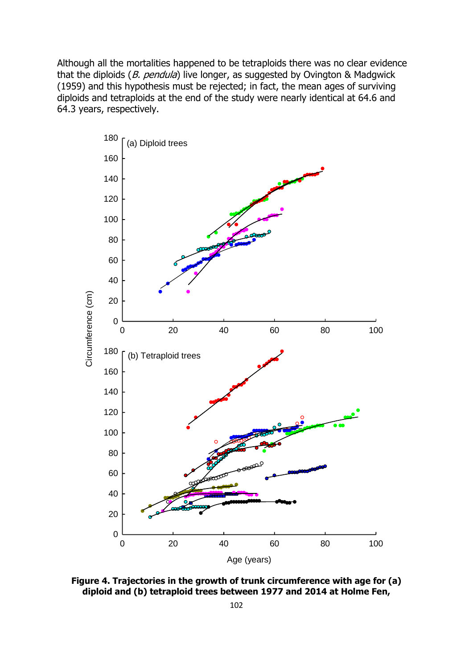Although all the mortalities happened to be tetraploids there was no clear evidence that the diploids  $(B.$  pendula) live longer, as suggested by Ovington & Madgwick (1959) and this hypothesis must be rejected; in fact, the mean ages of surviving diploids and tetraploids at the end of the study were nearly identical at 64.6 and 64.3 years, respectively.



**Figure 4. Trajectories in the growth of trunk circumference with age for (a) diploid and (b) tetraploid trees between 1977 and 2014 at Holme Fen,**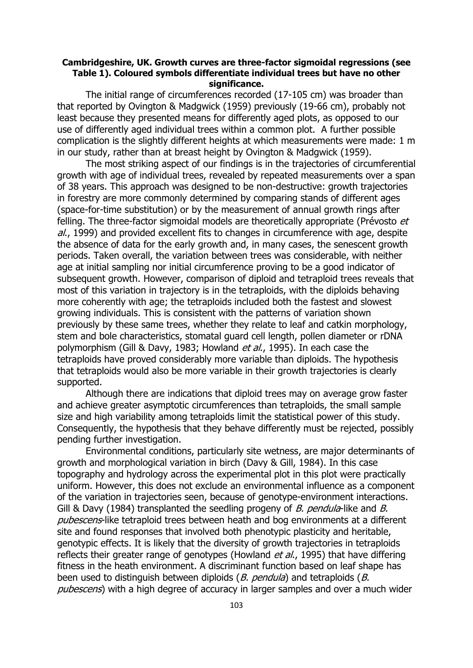## **Cambridgeshire, UK. Growth curves are three-factor sigmoidal regressions (see Table 1). Coloured symbols differentiate individual trees but have no other significance.**

The initial range of circumferences recorded (17-105 cm) was broader than that reported by Ovington & Madgwick (1959) previously (19-66 cm), probably not least because they presented means for differently aged plots, as opposed to our use of differently aged individual trees within a common plot. A further possible complication is the slightly different heights at which measurements were made: 1 m in our study, rather than at breast height by Ovington & Madgwick (1959).

The most striking aspect of our findings is in the trajectories of circumferential growth with age of individual trees, revealed by repeated measurements over a span of 38 years. This approach was designed to be non-destructive: growth trajectories in forestry are more commonly determined by comparing stands of different ages (space-for-time substitution) or by the measurement of annual growth rings after felling. The three-factor sigmoidal models are theoretically appropriate (Prévosto et al., 1999) and provided excellent fits to changes in circumference with age, despite the absence of data for the early growth and, in many cases, the senescent growth periods. Taken overall, the variation between trees was considerable, with neither age at initial sampling nor initial circumference proving to be a good indicator of subsequent growth. However, comparison of diploid and tetraploid trees reveals that most of this variation in trajectory is in the tetraploids, with the diploids behaving more coherently with age; the tetraploids included both the fastest and slowest growing individuals. This is consistent with the patterns of variation shown previously by these same trees, whether they relate to leaf and catkin morphology, stem and bole characteristics, stomatal guard cell length, pollen diameter or rDNA polymorphism (Gill & Davy, 1983; Howland et al., 1995). In each case the tetraploids have proved considerably more variable than diploids. The hypothesis that tetraploids would also be more variable in their growth trajectories is clearly supported.

Although there are indications that diploid trees may on average grow faster and achieve greater asymptotic circumferences than tetraploids, the small sample size and high variability among tetraploids limit the statistical power of this study. Consequently, the hypothesis that they behave differently must be rejected, possibly pending further investigation.

Environmental conditions, particularly site wetness, are major determinants of growth and morphological variation in birch (Davy & Gill, 1984). In this case topography and hydrology across the experimental plot in this plot were practically uniform. However, this does not exclude an environmental influence as a component of the variation in trajectories seen, because of genotype-environment interactions. Gill & Davy (1984) transplanted the seedling progeny of *B. pendula*-like and *B.* pubescens-like tetraploid trees between heath and bog environments at a different site and found responses that involved both phenotypic plasticity and heritable, genotypic effects. It is likely that the diversity of growth trajectories in tetraploids reflects their greater range of genotypes (Howland *et al.*, 1995) that have differing fitness in the heath environment. A discriminant function based on leaf shape has been used to distinguish between diploids (*B. pendula*) and tetraploids (*B.* pubescens) with a high degree of accuracy in larger samples and over a much wider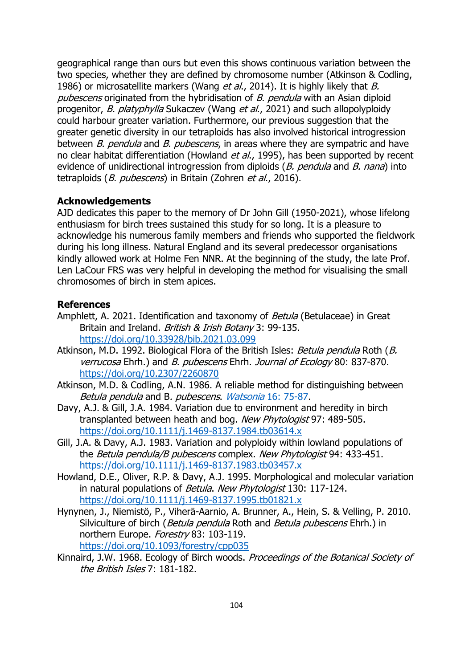geographical range than ours but even this shows continuous variation between the two species, whether they are defined by chromosome number (Atkinson & Codling, 1986) or microsatellite markers (Wang et al., 2014). It is highly likely that B. pubescens originated from the hybridisation of B. pendula with an Asian diploid progenitor, B. platyphylla Sukaczev (Wang et al., 2021) and such allopolyploidy could harbour greater variation. Furthermore, our previous suggestion that the greater genetic diversity in our tetraploids has also involved historical introgression between *B. pendula* and *B. pubescens*, in areas where they are sympatric and have no clear habitat differentiation (Howland et al., 1995), has been supported by recent evidence of unidirectional introgression from diploids (B. pendula and B. nana) into tetraploids (*B. pubescens*) in Britain (Zohren *et al.*, 2016).

## **Acknowledgements**

AJD dedicates this paper to the memory of Dr John Gill (1950-2021), whose lifelong enthusiasm for birch trees sustained this study for so long. It is a pleasure to acknowledge his numerous family members and friends who supported the fieldwork during his long illness. Natural England and its several predecessor organisations kindly allowed work at Holme Fen NNR. At the beginning of the study, the late Prof. Len LaCour FRS was very helpful in developing the method for visualising the small chromosomes of birch in stem apices.

## **References**

- Amphlett, A. 2021. Identification and taxonomy of *Betula* (Betulaceae) in Great Britain and Ireland. British & Irish Botany 3: 99-135. <https://doi.org/10.33928/bib.2021.03.099>
- Atkinson, M.D. 1992. Biological Flora of the British Isles: Betula pendula Roth (B. verrucosa Ehrh.) and B. pubescens Ehrh. Journal of Ecology 80: 837-870. <https://doi.org/10.2307/2260870>
- Atkinson, M.D. & Codling, A.N. 1986. A reliable method for distinguishing between Betula pendula and B. pubescens. Watsonia [16: 75-87.](http://archive.bsbi.org.uk/Wats16p75.pdf)
- Davy, A.J. & Gill, J.A. 1984. Variation due to environment and heredity in birch transplanted between heath and bog. New Phytologist 97: 489-505. <https://doi.org/10.1111/j.1469-8137.1984.tb03614.x>
- Gill, J.A. & Davy, A.J. 1983. Variation and polyploidy within lowland populations of the *Betula pendula/B pubescens* complex. New Phytologist 94: 433-451. <https://doi.org/10.1111/j.1469-8137.1983.tb03457.x>
- Howland, D.E., Oliver, R.P. & Davy, A.J. 1995. Morphological and molecular variation in natural populations of Betula. New Phytologist 130: 117-124. <https://doi.org/10.1111/j.1469-8137.1995.tb01821.x>
- Hynynen, J., Niemistö, P., Viherä-Aarnio, A. Brunner, A., Hein, S. & Velling, P. 2010. Silviculture of birch (Betula pendula Roth and Betula pubescens Ehrh.) in northern Europe. Forestry 83: 103-119. <https://doi.org/10.1093/forestry/cpp035>
- Kinnaird, J.W. 1968. Ecology of Birch woods. Proceedings of the Botanical Society of the British Isles 7: 181-182.